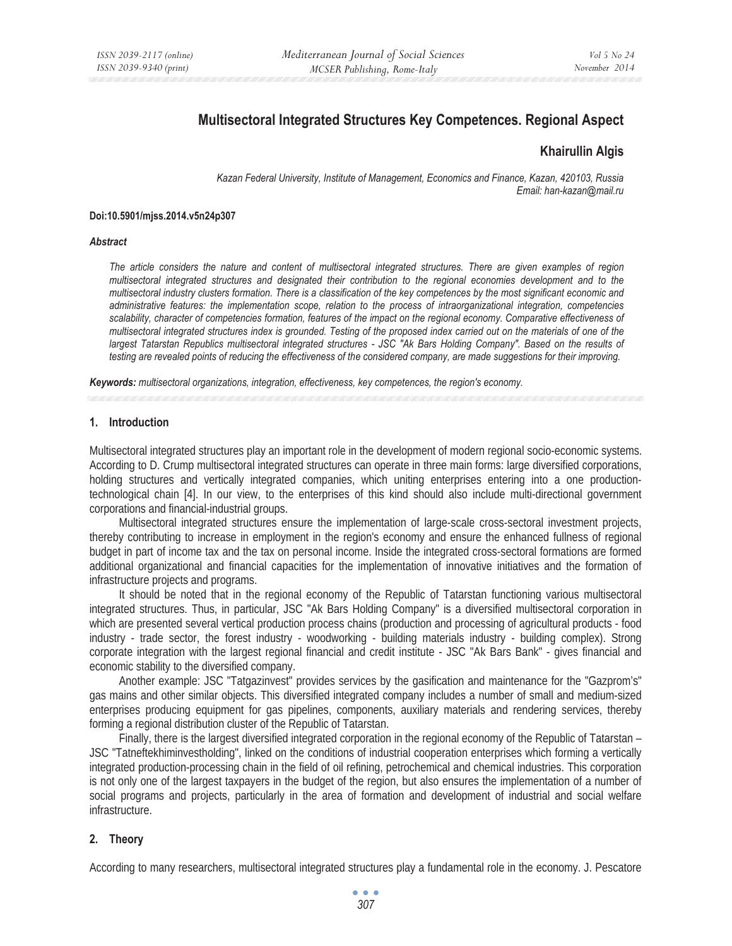# **Multisectoral Integrated Structures Key Competences. Regional Aspect**

# **Khairullin Algis**

*Kazan Federal University, Institute of Management, Economics and Finance, Kazan, 420103, Russia Email: han-kazan@mail.ru* 

#### **Doi:10.5901/mjss.2014.v5n24p307**

#### *Abstract*

*The article considers the nature and content of multisectoral integrated structures. There are given examples of region multisectoral integrated structures and designated their contribution to the regional economies development and to the multisectoral industry clusters formation. There is a classification of the key competences by the most significant economic and administrative features: the implementation scope, relation to the process of intraorganizational integration, competencies scalability, character of competencies formation, features of the impact on the regional economy. Comparative effectiveness of multisectoral integrated structures index is grounded. Testing of the proposed index carried out on the materials of one of the largest Tatarstan Republics multisectoral integrated structures - JSC "Ak Bars Holding Company". Based on the results of testing are revealed points of reducing the effectiveness of the considered company, are made suggestions for their improving.* 

*Keywords: multisectoral organizations, integration, effectiveness, key competences, the region's economy.*

## **1. Introduction**

Multisectoral integrated structures play an important role in the development of modern regional socio-economic systems. According to D. Crump multisectoral integrated structures can operate in three main forms: large diversified corporations, holding structures and vertically integrated companies, which uniting enterprises entering into a one productiontechnological chain [4]. In our view, to the enterprises of this kind should also include multi-directional government corporations and financial-industrial groups.

Multisectoral integrated structures ensure the implementation of large-scale cross-sectoral investment projects, thereby contributing to increase in employment in the region's economy and ensure the enhanced fullness of regional budget in part of income tax and the tax on personal income. Inside the integrated cross-sectoral formations are formed additional organizational and financial capacities for the implementation of innovative initiatives and the formation of infrastructure projects and programs.

It should be noted that in the regional economy of the Republic of Tatarstan functioning various multisectoral integrated structures. Thus, in particular, JSC "Ak Bars Holding Company" is a diversified multisectoral corporation in which are presented several vertical production process chains (production and processing of agricultural products - food industry - trade sector, the forest industry - woodworking - building materials industry - building complex). Strong corporate integration with the largest regional financial and credit institute - JSC "Ak Bars Bank" - gives financial and economic stability to the diversified company.

Another example: JSC "Tatgazinvest" provides services by the gasification and maintenance for the "Gazprom's" gas mains and other similar objects. This diversified integrated company includes a number of small and medium-sized enterprises producing equipment for gas pipelines, components, auxiliary materials and rendering services, thereby forming a regional distribution cluster of the Republic of Tatarstan.

Finally, there is the largest diversified integrated corporation in the regional economy of the Republic of Tatarstan – JSC "Tatneftekhiminvestholding", linked on the conditions of industrial cooperation enterprises which forming a vertically integrated production-processing chain in the field of oil refining, petrochemical and chemical industries. This corporation is not only one of the largest taxpayers in the budget of the region, but also ensures the implementation of a number of social programs and projects, particularly in the area of formation and development of industrial and social welfare infrastructure.

## **2. Theory**

According to many researchers, multisectoral integrated structures play a fundamental role in the economy. J. Pescatore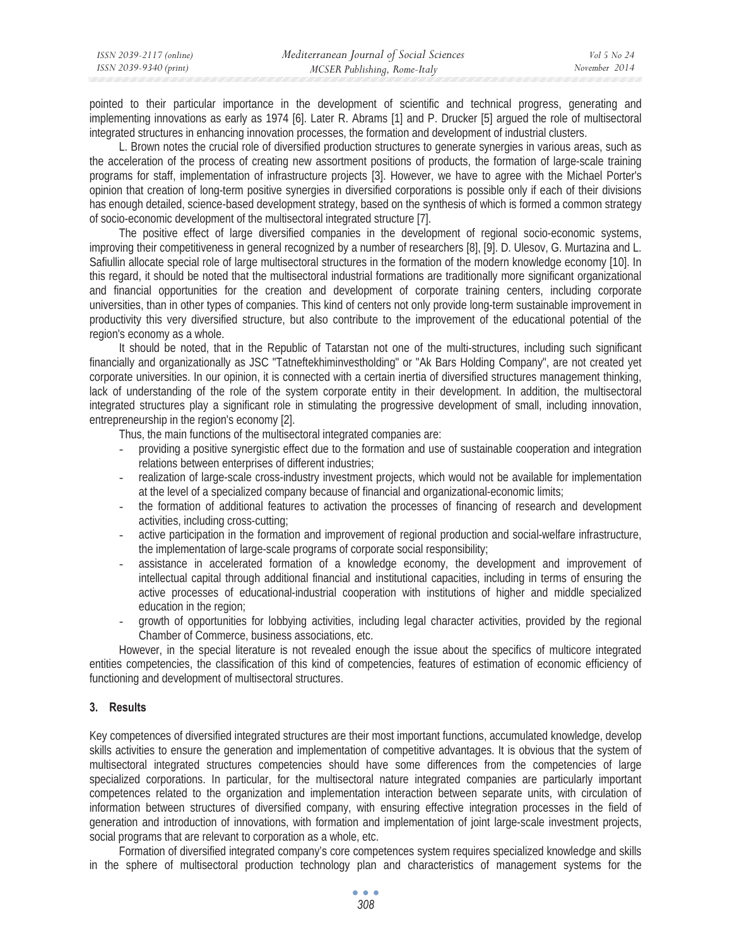| ISSN 2039-2117 (online) | Mediterranean Journal of Social Sciences | Vol 5 No 24   |
|-------------------------|------------------------------------------|---------------|
| ISSN 2039-9340 (print)  | MCSER Publishing, Rome-Italy             | November 2014 |
|                         |                                          |               |

pointed to their particular importance in the development of scientific and technical progress, generating and implementing innovations as early as 1974 [6]. Later R. Abrams [1] and P. Drucker [5] argued the role of multisectoral integrated structures in enhancing innovation processes, the formation and development of industrial clusters.

L. Brown notes the crucial role of diversified production structures to generate synergies in various areas, such as the acceleration of the process of creating new assortment positions of products, the formation of large-scale training programs for staff, implementation of infrastructure projects [3]. However, we have to agree with the Michael Porter's opinion that creation of long-term positive synergies in diversified corporations is possible only if each of their divisions has enough detailed, science-based development strategy, based on the synthesis of which is formed a common strategy of socio-economic development of the multisectoral integrated structure [7].

The positive effect of large diversified companies in the development of regional socio-economic systems, improving their competitiveness in general recognized by a number of researchers [8], [9]. D. Ulesov, G. Murtazina and L. Safiullin allocate special role of large multisectoral structures in the formation of the modern knowledge economy [10]. In this regard, it should be noted that the multisectoral industrial formations are traditionally more significant organizational and financial opportunities for the creation and development of corporate training centers, including corporate universities, than in other types of companies. This kind of centers not only provide long-term sustainable improvement in productivity this very diversified structure, but also contribute to the improvement of the educational potential of the region's economy as a whole.

It should be noted, that in the Republic of Tatarstan not one of the multi-structures, including such significant financially and organizationally as JSC "Tatneftekhiminvestholding" or "Ak Bars Holding Company", are not created yet corporate universities. In our opinion, it is connected with a certain inertia of diversified structures management thinking, lack of understanding of the role of the system corporate entity in their development. In addition, the multisectoral integrated structures play a significant role in stimulating the progressive development of small, including innovation, entrepreneurship in the region's economy [2].

Thus, the main functions of the multisectoral integrated companies are:

- providing a positive synergistic effect due to the formation and use of sustainable cooperation and integration relations between enterprises of different industries;
- realization of large-scale cross-industry investment projects, which would not be available for implementation at the level of a specialized company because of financial and organizational-economic limits;
- the formation of additional features to activation the processes of financing of research and development activities, including cross-cutting;
- active participation in the formation and improvement of regional production and social-welfare infrastructure, the implementation of large-scale programs of corporate social responsibility;
- assistance in accelerated formation of a knowledge economy, the development and improvement of intellectual capital through additional financial and institutional capacities, including in terms of ensuring the active processes of educational-industrial cooperation with institutions of higher and middle specialized education in the region;
- growth of opportunities for lobbying activities, including legal character activities, provided by the regional Chamber of Commerce, business associations, etc.

However, in the special literature is not revealed enough the issue about the specifics of multicore integrated entities competencies, the classification of this kind of competencies, features of estimation of economic efficiency of functioning and development of multisectoral structures.

# **3. Results**

Key competences of diversified integrated structures are their most important functions, accumulated knowledge, develop skills activities to ensure the generation and implementation of competitive advantages. It is obvious that the system of multisectoral integrated structures competencies should have some differences from the competencies of large specialized corporations. In particular, for the multisectoral nature integrated companies are particularly important competences related to the organization and implementation interaction between separate units, with circulation of information between structures of diversified company, with ensuring effective integration processes in the field of generation and introduction of innovations, with formation and implementation of joint large-scale investment projects, social programs that are relevant to corporation as a whole, etc.

Formation of diversified integrated company's core competences system requires specialized knowledge and skills in the sphere of multisectoral production technology plan and characteristics of management systems for the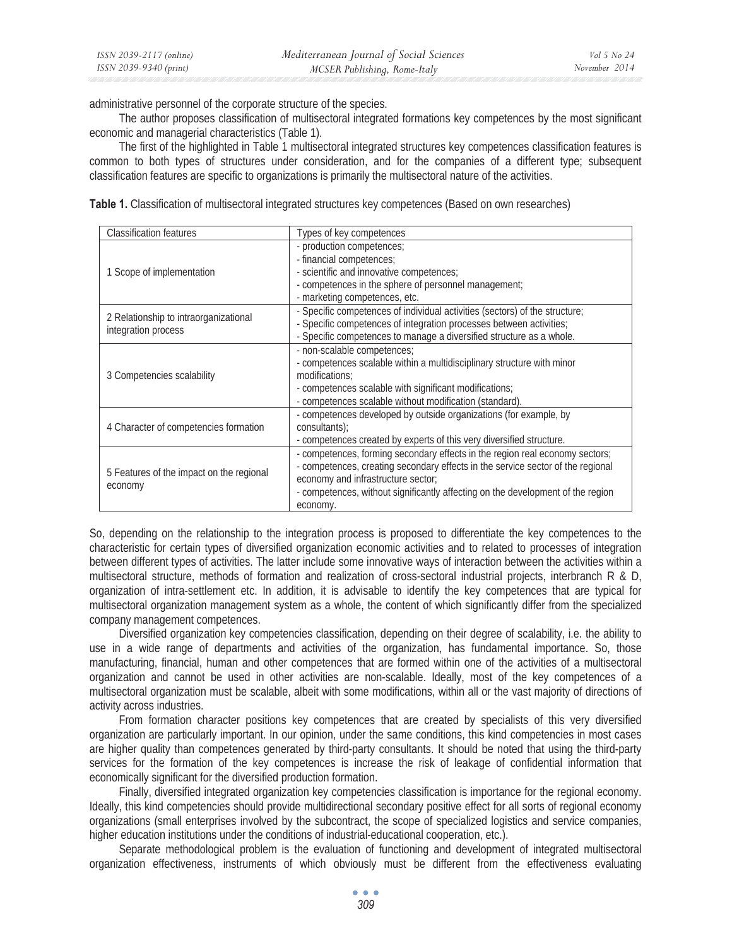administrative personnel of the corporate structure of the species.

The author proposes classification of multisectoral integrated formations key competences by the most significant economic and managerial characteristics (Table 1).

The first of the highlighted in Table 1 multisectoral integrated structures key competences classification features is common to both types of structures under consideration, and for the companies of a different type; subsequent classification features are specific to organizations is primarily the multisectoral nature of the activities.

**Table 1.** Classification of multisectoral integrated structures key competences (Based on own researches)

| <b>Classification features</b>                               | Types of key competences                                                                                                                                                                                                                                                                             |  |  |  |
|--------------------------------------------------------------|------------------------------------------------------------------------------------------------------------------------------------------------------------------------------------------------------------------------------------------------------------------------------------------------------|--|--|--|
| 1 Scope of implementation                                    | - production competences;<br>- financial competences;<br>- scientific and innovative competences;<br>- competences in the sphere of personnel management;<br>- marketing competences, etc.                                                                                                           |  |  |  |
| 2 Relationship to intraorganizational<br>integration process | - Specific competences of individual activities (sectors) of the structure;<br>- Specific competences of integration processes between activities;<br>- Specific competences to manage a diversified structure as a whole.                                                                           |  |  |  |
| 3 Competencies scalability                                   | - non-scalable competences;<br>- competences scalable within a multidisciplinary structure with minor<br>modifications:<br>- competences scalable with significant modifications;<br>- competences scalable without modification (standard).                                                         |  |  |  |
| 4 Character of competencies formation                        | - competences developed by outside organizations (for example, by<br>consultants);<br>- competences created by experts of this very diversified structure.                                                                                                                                           |  |  |  |
| 5 Features of the impact on the regional<br>economy          | - competences, forming secondary effects in the region real economy sectors;<br>- competences, creating secondary effects in the service sector of the regional<br>economy and infrastructure sector;<br>- competences, without significantly affecting on the development of the region<br>economy. |  |  |  |

So, depending on the relationship to the integration process is proposed to differentiate the key competences to the characteristic for certain types of diversified organization economic activities and to related to processes of integration between different types of activities. The latter include some innovative ways of interaction between the activities within a multisectoral structure, methods of formation and realization of cross-sectoral industrial projects, interbranch R & D, organization of intra-settlement etc. In addition, it is advisable to identify the key competences that are typical for multisectoral organization management system as a whole, the content of which significantly differ from the specialized company management competences.

Diversified organization key competencies classification, depending on their degree of scalability, i.e. the ability to use in a wide range of departments and activities of the organization, has fundamental importance. So, those manufacturing, financial, human and other competences that are formed within one of the activities of a multisectoral organization and cannot be used in other activities are non-scalable. Ideally, most of the key competences of a multisectoral organization must be scalable, albeit with some modifications, within all or the vast majority of directions of activity across industries.

From formation character positions key competences that are created by specialists of this very diversified organization are particularly important. In our opinion, under the same conditions, this kind competencies in most cases are higher quality than competences generated by third-party consultants. It should be noted that using the third-party services for the formation of the key competences is increase the risk of leakage of confidential information that economically significant for the diversified production formation.

Finally, diversified integrated organization key competencies classification is importance for the regional economy. Ideally, this kind competencies should provide multidirectional secondary positive effect for all sorts of regional economy organizations (small enterprises involved by the subcontract, the scope of specialized logistics and service companies, higher education institutions under the conditions of industrial-educational cooperation, etc.).

Separate methodological problem is the evaluation of functioning and development of integrated multisectoral organization effectiveness, instruments of which obviously must be different from the effectiveness evaluating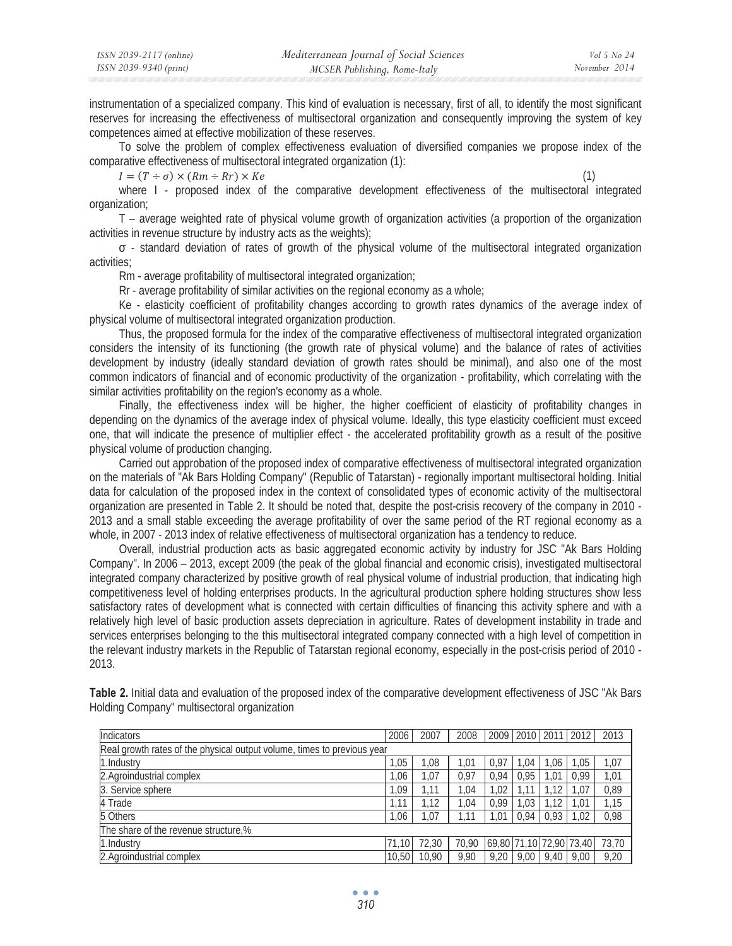instrumentation of a specialized company. This kind of evaluation is necessary, first of all, to identify the most significant reserves for increasing the effectiveness of multisectoral organization and consequently improving the system of key competences aimed at effective mobilization of these reserves.

To solve the problem of complex effectiveness evaluation of diversified companies we propose index of the comparative effectiveness of multisectoral integrated organization (1):

 $I = (T \div \sigma) \times (Rm \div Rr) \times Ke$  (1)

where I - proposed index of the comparative development effectiveness of the multisectoral integrated organization;

T – average weighted rate of physical volume growth of organization activities (a proportion of the organization activities in revenue structure by industry acts as the weights);

 $\sigma$  - standard deviation of rates of growth of the physical volume of the multisectoral integrated organization activities;

Rm - average profitability of multisectoral integrated organization;

Rr - average profitability of similar activities on the regional economy as a whole;

Ke - elasticity coefficient of profitability changes according to growth rates dynamics of the average index of physical volume of multisectoral integrated organization production.

Thus, the proposed formula for the index of the comparative effectiveness of multisectoral integrated organization considers the intensity of its functioning (the growth rate of physical volume) and the balance of rates of activities development by industry (ideally standard deviation of growth rates should be minimal), and also one of the most common indicators of financial and of economic productivity of the organization - profitability, which correlating with the similar activities profitability on the region's economy as a whole.

Finally, the effectiveness index will be higher, the higher coefficient of elasticity of profitability changes in depending on the dynamics of the average index of physical volume. Ideally, this type elasticity coefficient must exceed one, that will indicate the presence of multiplier effect - the accelerated profitability growth as a result of the positive physical volume of production changing.

Carried out approbation of the proposed index of comparative effectiveness of multisectoral integrated organization on the materials of "Ak Bars Holding Company" (Republic of Tatarstan) - regionally important multisectoral holding. Initial data for calculation of the proposed index in the context of consolidated types of economic activity of the multisectoral organization are presented in Table 2. It should be noted that, despite the post-crisis recovery of the company in 2010 - 2013 and a small stable exceeding the average profitability of over the same period of the RT regional economy as a whole, in 2007 - 2013 index of relative effectiveness of multisectoral organization has a tendency to reduce.

Overall, industrial production acts as basic aggregated economic activity by industry for JSC "Ak Bars Holding Company". In 2006 – 2013, except 2009 (the peak of the global financial and economic crisis), investigated multisectoral integrated company characterized by positive growth of real physical volume of industrial production, that indicating high competitiveness level of holding enterprises products. In the agricultural production sphere holding structures show less satisfactory rates of development what is connected with certain difficulties of financing this activity sphere and with a relatively high level of basic production assets depreciation in agriculture. Rates of development instability in trade and services enterprises belonging to the this multisectoral integrated company connected with a high level of competition in the relevant industry markets in the Republic of Tatarstan regional economy, especially in the post-crisis period of 2010 - 2013.

| Indicators                                                              | 2006  | 2007  | 2008  |      | 2009   2010   2011   2012 |      |                         | 2013  |
|-------------------------------------------------------------------------|-------|-------|-------|------|---------------------------|------|-------------------------|-------|
| Real growth rates of the physical output volume, times to previous year |       |       |       |      |                           |      |                         |       |
| 1. Industry                                                             | 1,05  | .08   | .01   | 0.97 | 1.04                      | .06  | .05                     | 1.07  |
| 2. Agroindustrial complex                                               | 1.06  | ,07   | 0.97  | 0.94 | 0.95                      | .01  | 0.99                    | 1,01  |
| 3. Service sphere                                                       | 1.09  | l.11  | .04   | 1.02 | 1,11                      | .12  | ,07                     | 0,89  |
| 4 Trade                                                                 | 1.11  | 1.12  | .04   | 0.99 | 1.03                      |      | 0.01                    | 1,15  |
| 5 Others                                                                | 1,06  | .07   | .11   | .01  | 0.94                      | 0.93 | 1.02                    | 0,98  |
| The share of the revenue structure.%                                    |       |       |       |      |                           |      |                         |       |
| 1. Industry                                                             | 71.10 | 72.30 | 70.90 |      |                           |      | 69.80 71.10 72.90 73.40 | 73.70 |
| 2. Agroindustrial complex                                               | 10,50 | 10.90 | 9.90  | 9.20 | 9.00                      | 9.40 | 9.00                    | 9.20  |

**Table 2.** Initial data and evaluation of the proposed index of the comparative development effectiveness of JSC "Ak Bars Holding Company" multisectoral organization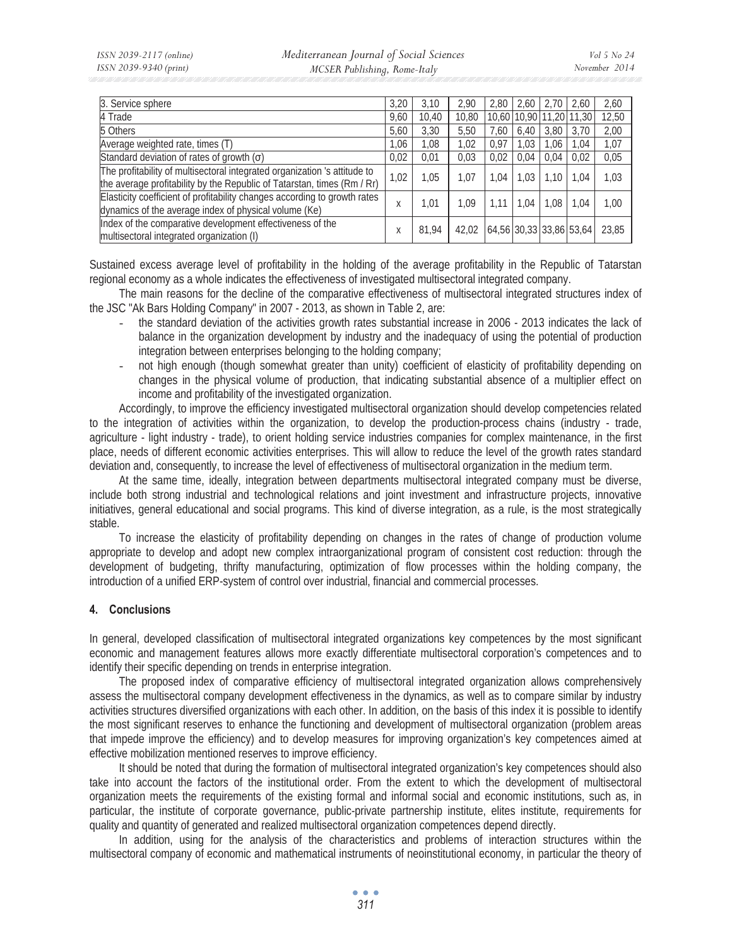| 3. Service sphere                                                                                                                                    | 3,20 | 3,10  | 2.90  | 2.80 | 2.60                    | 2.70 | 2.60 | 2,60  |
|------------------------------------------------------------------------------------------------------------------------------------------------------|------|-------|-------|------|-------------------------|------|------|-------|
| 4 Trade                                                                                                                                              | 9.60 | 10.40 | 10.80 |      | 10.60 10.90 11.20 11.30 |      |      | 12,50 |
| 5 Others                                                                                                                                             | 5,60 | 3,30  | 5.50  | 7.60 | 6.40                    | 3.80 | 3.70 | 2,00  |
| Average weighted rate, times (T)                                                                                                                     | 1.06 | 1,08  | .02   | 0.97 | 1.03                    | .06  | 1.04 | 1,07  |
| Standard deviation of rates of growth $(\sigma)$                                                                                                     | 0.02 | 0.01  | 0.03  | 0.02 | 0.04                    | 0.04 | 0.02 | 0,05  |
| The profitability of multisectoral integrated organization 's attitude to<br>the average profitability by the Republic of Tatarstan, times (Rm / Rr) | 1,02 | 1.05  | 1.07  | 1.04 | 1.03                    | 1.10 | 1.04 | 1.03  |
| Elasticity coefficient of profitability changes according to growth rates<br>dynamics of the average index of physical volume (Ke)                   | A    | 1,01  | 1.09  | 1.11 | 1.04                    | 1.08 | 1.04 | 1,00  |
| Index of the comparative development effectiveness of the<br>multisectoral integrated organization (I)                                               | Χ    | 81.94 | 42.02 |      | 64,56 30,33 33,86 53,64 |      |      | 23.85 |

Sustained excess average level of profitability in the holding of the average profitability in the Republic of Tatarstan regional economy as a whole indicates the effectiveness of investigated multisectoral integrated company.

The main reasons for the decline of the comparative effectiveness of multisectoral integrated structures index of the JSC "Ak Bars Holding Company" in 2007 - 2013, as shown in Table 2, are:

- the standard deviation of the activities growth rates substantial increase in 2006 2013 indicates the lack of balance in the organization development by industry and the inadequacy of using the potential of production integration between enterprises belonging to the holding company;
- not high enough (though somewhat greater than unity) coefficient of elasticity of profitability depending on changes in the physical volume of production, that indicating substantial absence of a multiplier effect on income and profitability of the investigated organization.

Accordingly, to improve the efficiency investigated multisectoral organization should develop competencies related to the integration of activities within the organization, to develop the production-process chains (industry - trade, agriculture - light industry - trade), to orient holding service industries companies for complex maintenance, in the first place, needs of different economic activities enterprises. This will allow to reduce the level of the growth rates standard deviation and, consequently, to increase the level of effectiveness of multisectoral organization in the medium term.

At the same time, ideally, integration between departments multisectoral integrated company must be diverse, include both strong industrial and technological relations and joint investment and infrastructure projects, innovative initiatives, general educational and social programs. This kind of diverse integration, as a rule, is the most strategically stable.

To increase the elasticity of profitability depending on changes in the rates of change of production volume appropriate to develop and adopt new complex intraorganizational program of consistent cost reduction: through the development of budgeting, thrifty manufacturing, optimization of flow processes within the holding company, the introduction of a unified ERP-system of control over industrial, financial and commercial processes.

# **4. Conclusions**

In general, developed classification of multisectoral integrated organizations key competences by the most significant economic and management features allows more exactly differentiate multisectoral corporation's competences and to identify their specific depending on trends in enterprise integration.

The proposed index of comparative efficiency of multisectoral integrated organization allows comprehensively assess the multisectoral company development effectiveness in the dynamics, as well as to compare similar by industry activities structures diversified organizations with each other. In addition, on the basis of this index it is possible to identify the most significant reserves to enhance the functioning and development of multisectoral organization (problem areas that impede improve the efficiency) and to develop measures for improving organization's key competences aimed at effective mobilization mentioned reserves to improve efficiency.

It should be noted that during the formation of multisectoral integrated organization's key competences should also take into account the factors of the institutional order. From the extent to which the development of multisectoral organization meets the requirements of the existing formal and informal social and economic institutions, such as, in particular, the institute of corporate governance, public-private partnership institute, elites institute, requirements for quality and quantity of generated and realized multisectoral organization competences depend directly.

In addition, using for the analysis of the characteristics and problems of interaction structures within the multisectoral company of economic and mathematical instruments of neoinstitutional economy, in particular the theory of